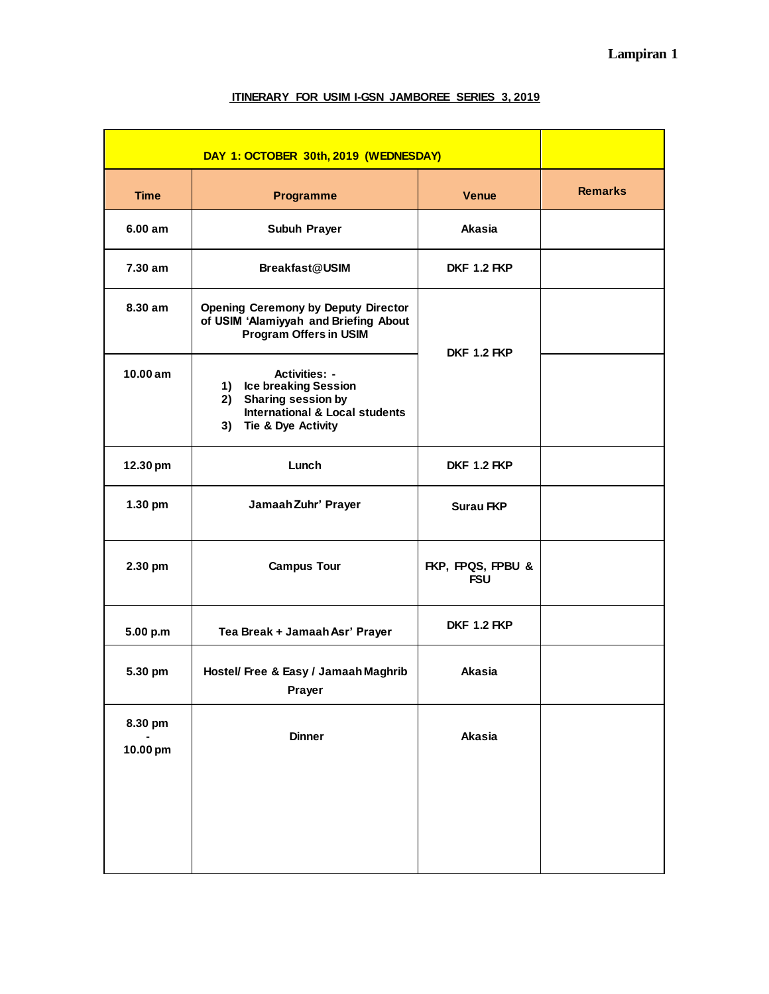| DAY 1: OCTOBER 30th, 2019 (WEDNESDAY) |                                                                                                                                                   |                                 |                |
|---------------------------------------|---------------------------------------------------------------------------------------------------------------------------------------------------|---------------------------------|----------------|
| <b>Time</b>                           | <b>Programme</b>                                                                                                                                  | <b>Venue</b>                    | <b>Remarks</b> |
| 6.00 am                               | Subuh Prayer                                                                                                                                      | <b>Akasia</b>                   |                |
| 7.30 am                               | Breakfast@USIM                                                                                                                                    | <b>DKF 1.2 FKP</b>              |                |
| 8.30 am                               | <b>Opening Ceremony by Deputy Director</b><br>of USIM 'Alamiyyah and Briefing About<br><b>Program Offers in USIM</b>                              | <b>DKF 1.2 FKP</b>              |                |
| 10.00 am                              | <b>Activities: -</b><br>1) Ice breaking Session<br>2) Sharing session by<br><b>International &amp; Local students</b><br>Tie & Dye Activity<br>3) |                                 |                |
| 12.30 pm                              | Lunch                                                                                                                                             | <b>DKF 1.2 FKP</b>              |                |
| 1.30 pm                               | Jamaah Zuhr' Prayer                                                                                                                               | <b>Surau FKP</b>                |                |
| 2.30 pm                               | <b>Campus Tour</b>                                                                                                                                | FKP, FPQS, FPBU &<br><b>FSU</b> |                |
| 5.00 p.m                              | Tea Break + Jamaah Asr' Prayer                                                                                                                    | <b>DKF 1.2 FKP</b>              |                |
| 5.30 pm                               | Hostel/ Free & Easy / Jamaah Maghrib<br>Prayer                                                                                                    | Akasia                          |                |
| 8.30 pm<br>10.00 pm                   | <b>Dinner</b>                                                                                                                                     | Akasia                          |                |
|                                       |                                                                                                                                                   |                                 |                |

## **ITINERARY FOR USIM I-GSN JAMBOREE SERIES 3, 2019**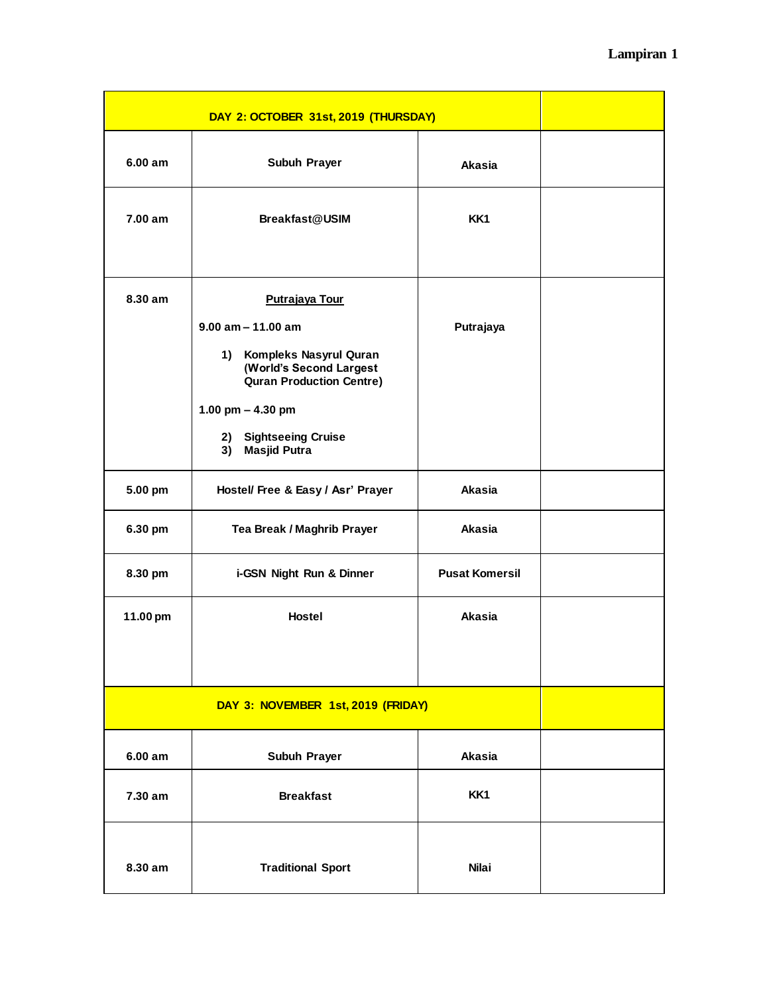| DAY 2: OCTOBER 31st, 2019 (THURSDAY) |                                                                                                                                                                                                                  |                       |  |  |
|--------------------------------------|------------------------------------------------------------------------------------------------------------------------------------------------------------------------------------------------------------------|-----------------------|--|--|
| 6.00 am                              | Subuh Prayer                                                                                                                                                                                                     | Akasia                |  |  |
| 7.00 am                              | <b>Breakfast@USIM</b>                                                                                                                                                                                            | KK1                   |  |  |
| 8.30 am                              | Putrajaya Tour<br>$9.00$ am $- 11.00$ am<br>1) Kompleks Nasyrul Quran<br>(World's Second Largest<br><b>Quran Production Centre)</b><br>1.00 pm $-$ 4.30 pm<br>2) Sightseeing Cruise<br><b>Masjid Putra</b><br>3) | Putrajaya             |  |  |
| 5.00 pm                              | Hostel/ Free & Easy / Asr' Prayer                                                                                                                                                                                | Akasia                |  |  |
| 6.30 pm                              | Tea Break / Maghrib Prayer                                                                                                                                                                                       | Akasia                |  |  |
| 8.30 pm                              | i-GSN Night Run & Dinner                                                                                                                                                                                         | <b>Pusat Komersil</b> |  |  |
| 11.00 pm                             | <b>Hostel</b>                                                                                                                                                                                                    | <b>Akasia</b>         |  |  |
|                                      | DAY 3: NOVEMBER 1st, 2019 (FRIDAY)                                                                                                                                                                               |                       |  |  |
| 6.00 am                              | Subuh Prayer                                                                                                                                                                                                     | <b>Akasia</b>         |  |  |
| 7.30 am                              | <b>Breakfast</b>                                                                                                                                                                                                 | KK1                   |  |  |
| 8.30 am                              | <b>Traditional Sport</b>                                                                                                                                                                                         | <b>Nilai</b>          |  |  |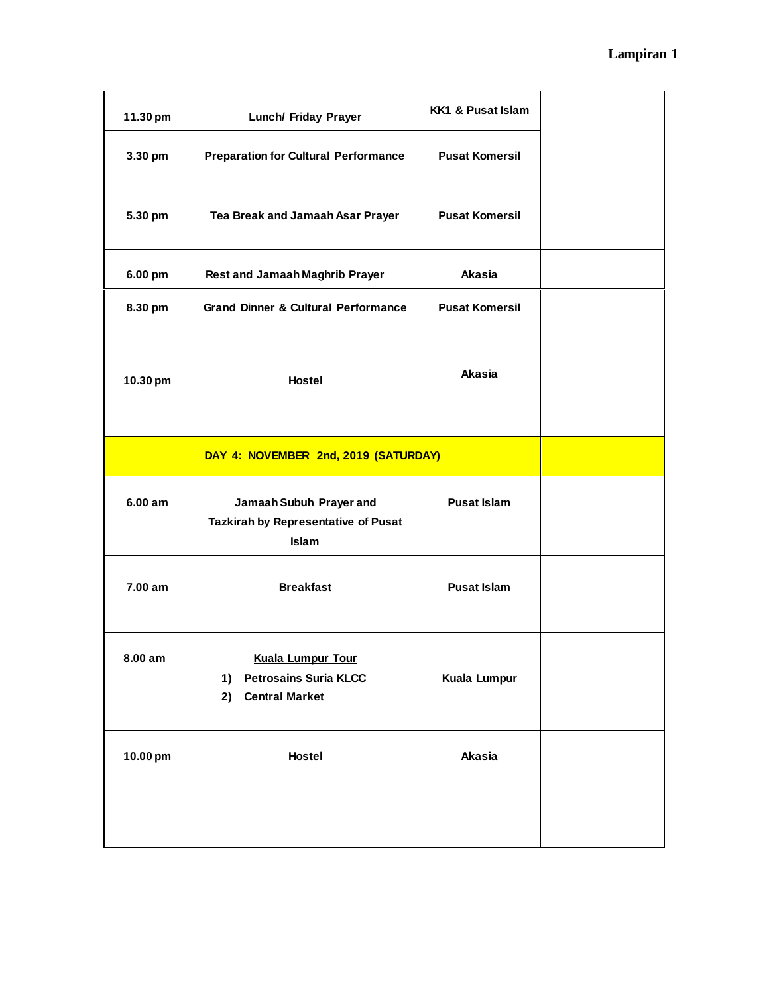| 11.30 pm                             | Lunch/ Friday Prayer                                                                          | <b>KK1 &amp; Pusat Islam</b> |  |
|--------------------------------------|-----------------------------------------------------------------------------------------------|------------------------------|--|
| 3.30 pm                              | <b>Preparation for Cultural Performance</b>                                                   | <b>Pusat Komersil</b>        |  |
| 5.30 pm                              | Tea Break and Jamaah Asar Prayer                                                              | <b>Pusat Komersil</b>        |  |
| 6.00 pm                              | <b>Rest and Jamaah Maghrib Prayer</b>                                                         | <b>Akasia</b>                |  |
| 8.30 pm                              | <b>Grand Dinner &amp; Cultural Performance</b>                                                | <b>Pusat Komersil</b>        |  |
| 10.30 pm                             | <b>Hostel</b>                                                                                 | Akasia                       |  |
| DAY 4: NOVEMBER 2nd, 2019 (SATURDAY) |                                                                                               |                              |  |
| 6.00 am                              | Jamaah Subuh Prayer and<br>Tazkirah by Representative of Pusat<br><b>Islam</b>                | <b>Pusat Islam</b>           |  |
| 7.00 am                              | <b>Breakfast</b>                                                                              | <b>Pusat Islam</b>           |  |
| 8.00 am                              | <b>Kuala Lumpur Tour</b><br><b>Petrosains Suria KLCC</b><br>1)<br>2)<br><b>Central Market</b> | Kuala Lumpur                 |  |
| 10.00 pm                             | Hostel                                                                                        | Akasia                       |  |